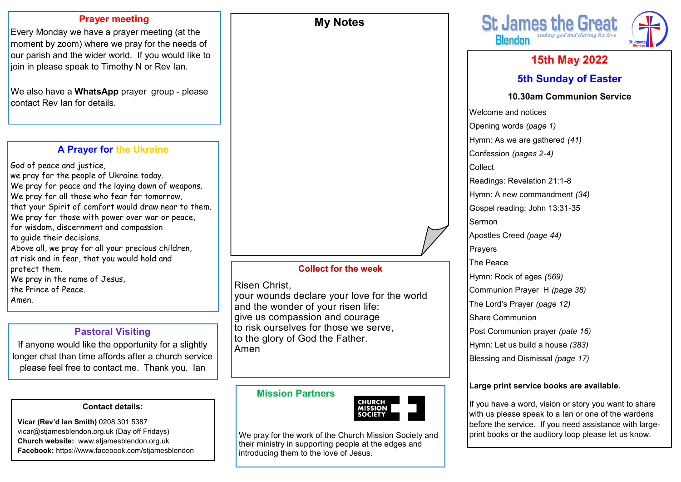## **Prayer meeting**

Every Monday we have a prayer meeting (at the moment by zoom) where we pray for the needs of our parish and the wider world. If you would like to join in please speak to Timothy N or Rev Ian.

We also have a **WhatsApp** prayer group - please contact Rev Ian for details.

# **A Prayer for the Ukraine**

God of peace and justice, we pray for the people of Ukraine today. We pray for peace and the laying down of weapons. We pray for all those who fear for tomorrow, that your Spirit of comfort would draw near to them. We pray for those with power over war or peace, for wisdom, discernment and compassion to guide their decisions. Above all, we pray for all your precious children, at risk and in fear, that you would hold and protect them. We pray in the name of Jesus, the Prince of Peace. Amen.

# **Pastoral Visiting**

If anyone would like the opportunity for a slightly longer chat than time affords after a church service please feel free to contact me. Thank you. Ian

#### **Contact details:**

**Vicar (Rev'd Ian Smith)** 0208 301 5387 vicar@stjamesblendon.org.uk (Day off Fridays) **Church website:** www.stjamesblendon.org.uk **Facebook:** https://www.facebook.com/stjamesblendon

# **Collect for the week**

**My Notes**

#### Risen Christ,

your wounds declare your love for the world and the wonder of your risen life: give us compassion and courage to risk ourselves for those we serve, to the glory of God the Father. Amen

# **Mission Partners**



We pray for the work of the Church Mission Society and their ministry in supporting people at the edges and introducing them to the love of Jesus.



# **15th May 2022 5th Sunday of Easter**

#### **10.30am Communion Service**

Welcome and notices Opening words *(page 1)* Hymn: As we are gathered *(41)*  Confession *(pages 2-4)*  Collect Readings: Revelation 21:1-8 Hymn: A new commandment *(34)* Gospel reading: John 13:31-35 Sermon Apostles Creed *(page 44)* Prayers The Peace Hymn: Rock of ages *(569)* Communion Prayer H *(page 38)*  The Lord's Prayer *(page 12)*  Share Communion Post Communion prayer *(pate 16)* Hymn: Let us build a house *(383)* Blessing and Dismissal *(page 17)*

#### **Large print service books are available.**

If you have a word, vision or story you want to share with us please speak to a Ian or one of the wardens before the service. If you need assistance with largeprint books or the auditory loop please let us know.